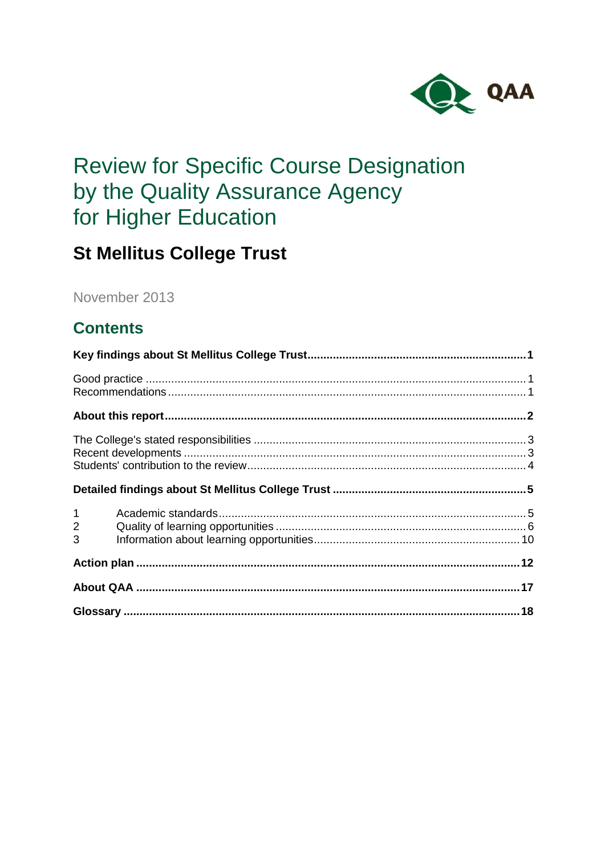

# **Review for Specific Course Designation** by the Quality Assurance Agency for Higher Education

## **St Mellitus College Trust**

November 2013

## **Contents**

| $1 \quad \blacksquare$<br>$2^{\sim}$<br>3 |  |
|-------------------------------------------|--|
|                                           |  |
|                                           |  |
|                                           |  |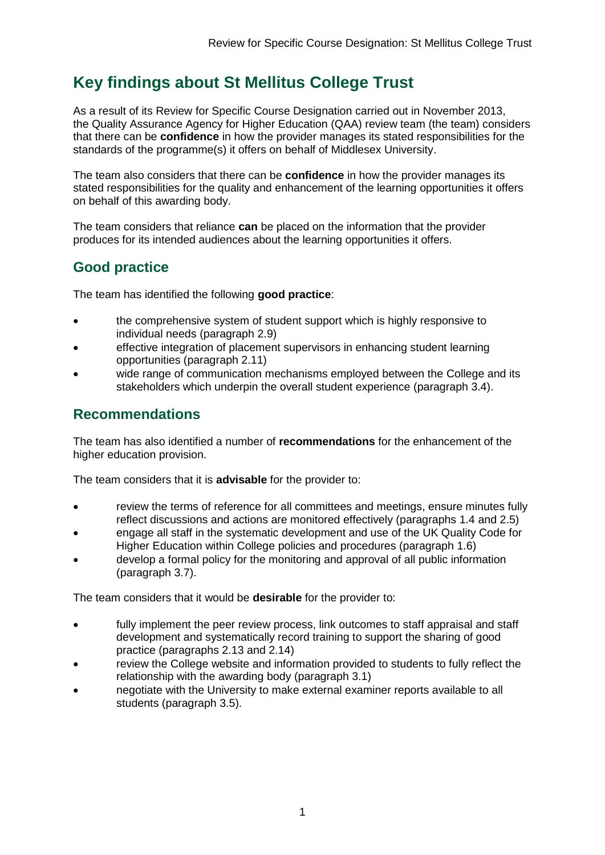## <span id="page-1-0"></span>**Key findings about St Mellitus College Trust**

As a result of its Review for Specific Course Designation carried out in November 2013, the Quality Assurance Agency for Higher Education (QAA) review team (the team) considers that there can be **confidence** in how the provider manages its stated responsibilities for the standards of the programme(s) it offers on behalf of Middlesex University.

The team also considers that there can be **confidence** in how the provider manages its stated responsibilities for the quality and enhancement of the learning opportunities it offers on behalf of this awarding body.

The team considers that reliance **can** be placed on the information that the provider produces for its intended audiences about the learning opportunities it offers.

### <span id="page-1-1"></span>**Good practice**

The team has identified the following **good practice**:

- the comprehensive system of student support which is highly responsive to individual needs (paragraph 2.9)
- effective integration of placement supervisors in enhancing student learning opportunities (paragraph 2.11)
- wide range of communication mechanisms employed between the College and its stakeholders which underpin the overall student experience (paragraph 3.4).

### <span id="page-1-2"></span>**Recommendations**

The team has also identified a number of **recommendations** for the enhancement of the higher education provision.

The team considers that it is **advisable** for the provider to:

- review the terms of reference for all committees and meetings, ensure minutes fully reflect discussions and actions are monitored effectively (paragraphs 1.4 and 2.5)
- engage all staff in the systematic development and use of the UK Quality Code for Higher Education within College policies and procedures (paragraph 1.6)
- develop a formal policy for the monitoring and approval of all public information (paragraph 3.7).

The team considers that it would be **desirable** for the provider to:

- fully implement the peer review process, link outcomes to staff appraisal and staff development and systematically record training to support the sharing of good practice (paragraphs 2.13 and 2.14)
- review the College website and information provided to students to fully reflect the relationship with the awarding body (paragraph 3.1)
- negotiate with the University to make external examiner reports available to all students (paragraph 3.5).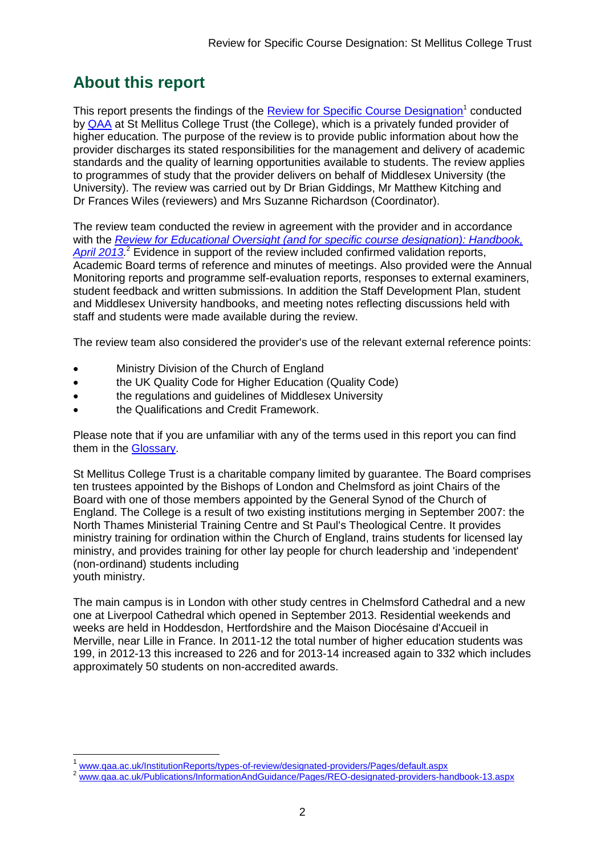## <span id="page-2-0"></span>**About this report**

This report presents the findings of the **Review for Specific Course Designation**<sup>1</sup> conducted by [QAA](#page-17-0) at St Mellitus College Trust (the College), which is a privately funded provider of higher education. The purpose of the review is to provide public information about how the provider discharges its stated responsibilities for the management and delivery of academic standards and the quality of learning opportunities available to students. The review applies to programmes of study that the provider delivers on behalf of Middlesex University (the University). The review was carried out by Dr Brian Giddings, Mr Matthew Kitching and Dr Frances Wiles (reviewers) and Mrs Suzanne Richardson (Coordinator).

The review team conducted the review in agreement with the provider and in accordance with the *Review [for Educational Oversight \(and for specific course designation\): Handbook,](http://www.qaa.ac.uk/Publications/InformationAndGuidance/Pages/REO-designated-providers-handbook-13.aspx)*  April 2013<sup>2</sup> Evidence in support of the review included confirmed validation reports, Academic Board terms of reference and minutes of meetings. Also provided were the Annual Monitoring reports and programme self-evaluation reports, responses to external examiners, student feedback and written submissions. In addition the Staff Development Plan, student and Middlesex University handbooks, and meeting notes reflecting discussions held with staff and students were made available during the review.

The review team also considered the provider's use of the relevant external reference points:

- Ministry Division of the Church of England
- **the UK Quality Code for Higher Education (Quality Code)**
- the regulations and guidelines of Middlesex University
- the Qualifications and Credit Framework.

Please note that if you are unfamiliar with any of the terms used in this report you can find them in the [Glossary.](#page-18-0)

St Mellitus College Trust is a charitable company limited by guarantee. The Board comprises ten trustees appointed by the Bishops of London and Chelmsford as joint Chairs of the Board with one of those members appointed by the General Synod of the Church of England. The College is a result of two existing institutions merging in September 2007: the North Thames Ministerial Training Centre and St Paul's Theological Centre. It provides ministry training for ordination within the Church of England, trains students for licensed lay ministry, and provides training for other lay people for church leadership and 'independent' (non-ordinand) students including youth ministry.

The main campus is in London with other study centres in Chelmsford Cathedral and a new one at Liverpool Cathedral which opened in September 2013. Residential weekends and weeks are held in Hoddesdon, Hertfordshire and the Maison Diocésaine d'Accueil in Merville, near Lille in France. In 2011-12 the total number of higher education students was 199, in 2012-13 this increased to 226 and for 2013-14 increased again to 332 which includes approximately 50 students on non-accredited awards.

-

<sup>1</sup> [www.qaa.ac.uk/InstitutionReports/types-of-review/designated-providers/Pages/default.aspx](http://www.qaa.ac.uk/InstitutionReports/types-of-review/designated-providers/Pages/default.aspx)

<sup>2</sup> [www.qaa.ac.uk/Publications/InformationAndGuidance/Pages/REO-designated-providers-handbook-13.aspx](http://www.qaa.ac.uk/Publications/InformationAndGuidance/Pages/REO-designated-providers-handbook-13.aspx)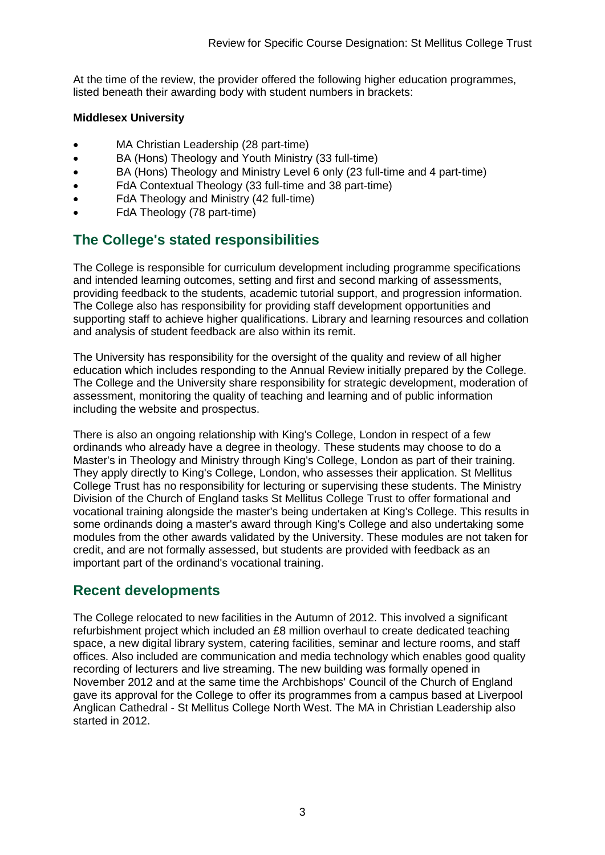At the time of the review, the provider offered the following higher education programmes, listed beneath their awarding body with student numbers in brackets:

#### **Middlesex University**

- MA Christian Leadership (28 part-time)
- BA (Hons) Theology and Youth Ministry (33 full-time)
- BA (Hons) Theology and Ministry Level 6 only (23 full-time and 4 part-time)
- FdA Contextual Theology (33 full-time and 38 part-time)
- FdA Theology and Ministry (42 full-time)
- FdA Theology (78 part-time)

### <span id="page-3-0"></span>**The College's stated responsibilities**

The College is responsible for curriculum development including programme specifications and intended learning outcomes, setting and first and second marking of assessments, providing feedback to the students, academic tutorial support, and progression information. The College also has responsibility for providing staff development opportunities and supporting staff to achieve higher qualifications. Library and learning resources and collation and analysis of student feedback are also within its remit.

The University has responsibility for the oversight of the quality and review of all higher education which includes responding to the Annual Review initially prepared by the College. The College and the University share responsibility for strategic development, moderation of assessment, monitoring the quality of teaching and learning and of public information including the website and prospectus.

There is also an ongoing relationship with King's College, London in respect of a few ordinands who already have a degree in theology. These students may choose to do a Master's in Theology and Ministry through King's College, London as part of their training. They apply directly to King's College, London, who assesses their application. St Mellitus College Trust has no responsibility for lecturing or supervising these students. The Ministry Division of the Church of England tasks St Mellitus College Trust to offer formational and vocational training alongside the master's being undertaken at King's College. This results in some ordinands doing a master's award through King's College and also undertaking some modules from the other awards validated by the University. These modules are not taken for credit, and are not formally assessed, but students are provided with feedback as an important part of the ordinand's vocational training.

### <span id="page-3-1"></span>**Recent developments**

The College relocated to new facilities in the Autumn of 2012. This involved a significant refurbishment project which included an £8 million overhaul to create dedicated teaching space, a new digital library system, catering facilities, seminar and lecture rooms, and staff offices. Also included are communication and media technology which enables good quality recording of lecturers and live streaming. The new building was formally opened in November 2012 and at the same time the Archbishops' Council of the Church of England gave its approval for the College to offer its programmes from a campus based at Liverpool Anglican Cathedral - St Mellitus College North West. The MA in Christian Leadership also started in 2012.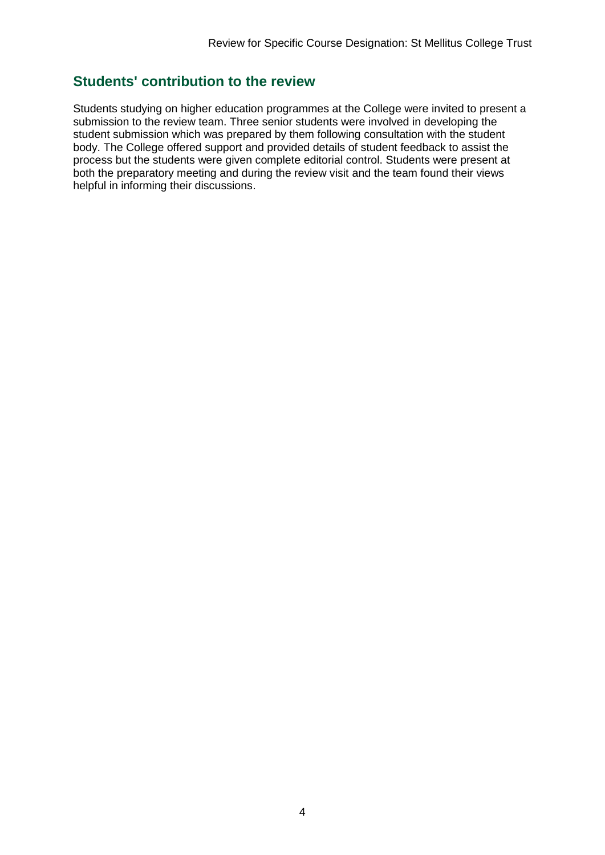### <span id="page-4-0"></span>**Students' contribution to the review**

Students studying on higher education programmes at the College were invited to present a submission to the review team. Three senior students were involved in developing the student submission which was prepared by them following consultation with the student body. The College offered support and provided details of student feedback to assist the process but the students were given complete editorial control. Students were present at both the preparatory meeting and during the review visit and the team found their views helpful in informing their discussions.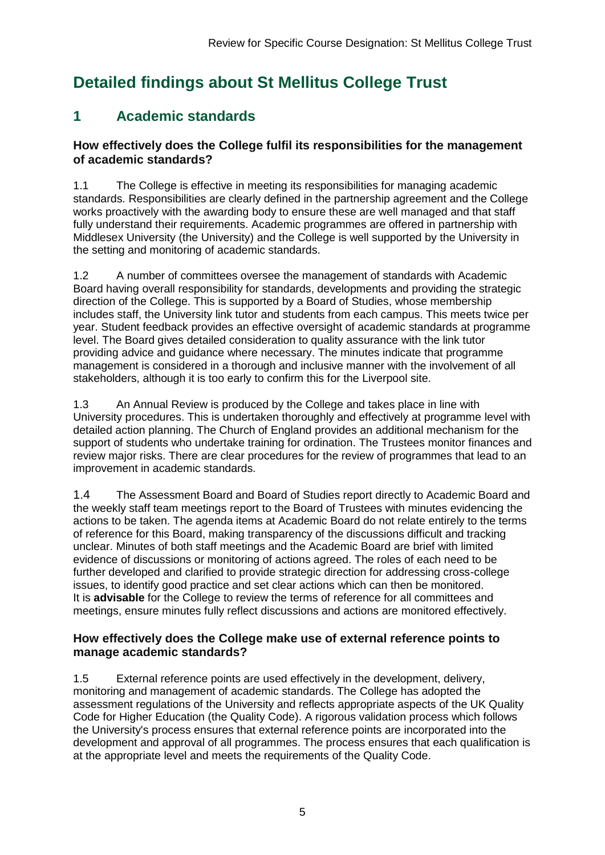## <span id="page-5-0"></span>**Detailed findings about St Mellitus College Trust**

### <span id="page-5-1"></span>**1 Academic standards**

#### **How effectively does the College fulfil its responsibilities for the management of academic standards?**

1.1 The College is effective in meeting its responsibilities for managing academic standards. Responsibilities are clearly defined in the partnership agreement and the College works proactively with the awarding body to ensure these are well managed and that staff fully understand their requirements. Academic programmes are offered in partnership with Middlesex University (the University) and the College is well supported by the University in the setting and monitoring of academic standards.

1.2 A number of committees oversee the management of standards with Academic Board having overall responsibility for standards, developments and providing the strategic direction of the College. This is supported by a Board of Studies, whose membership includes staff, the University link tutor and students from each campus. This meets twice per year. Student feedback provides an effective oversight of academic standards at programme level. The Board gives detailed consideration to quality assurance with the link tutor providing advice and guidance where necessary. The minutes indicate that programme management is considered in a thorough and inclusive manner with the involvement of all stakeholders, although it is too early to confirm this for the Liverpool site.

1.3 An Annual Review is produced by the College and takes place in line with University procedures. This is undertaken thoroughly and effectively at programme level with detailed action planning. The Church of England provides an additional mechanism for the support of students who undertake training for ordination. The Trustees monitor finances and review major risks. There are clear procedures for the review of programmes that lead to an improvement in academic standards.

1.4 The Assessment Board and Board of Studies report directly to Academic Board and the weekly staff team meetings report to the Board of Trustees with minutes evidencing the actions to be taken. The agenda items at Academic Board do not relate entirely to the terms of reference for this Board, making transparency of the discussions difficult and tracking unclear. Minutes of both staff meetings and the Academic Board are brief with limited evidence of discussions or monitoring of actions agreed. The roles of each need to be further developed and clarified to provide strategic direction for addressing cross-college issues, to identify good practice and set clear actions which can then be monitored. It is **advisable** for the College to review the terms of reference for all committees and meetings, ensure minutes fully reflect discussions and actions are monitored effectively.

#### **How effectively does the College make use of external reference points to manage academic standards?**

1.5 External reference points are used effectively in the development, delivery, monitoring and management of academic standards. The College has adopted the assessment regulations of the University and reflects appropriate aspects of the UK Quality Code for Higher Education (the Quality Code). A rigorous validation process which follows the University's process ensures that external reference points are incorporated into the development and approval of all programmes. The process ensures that each qualification is at the appropriate level and meets the requirements of the Quality Code.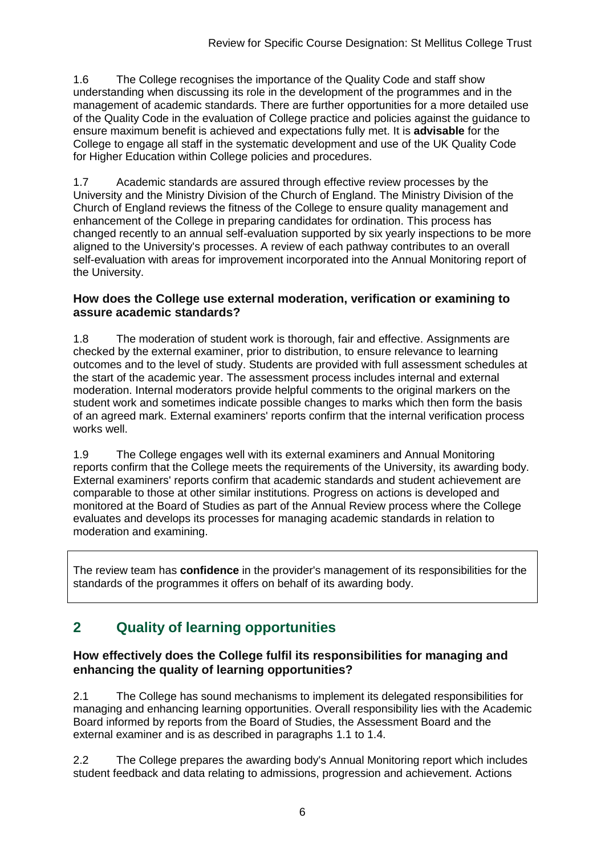1.6 The College recognises the importance of the Quality Code and staff show understanding when discussing its role in the development of the programmes and in the management of academic standards. There are further opportunities for a more detailed use of the Quality Code in the evaluation of College practice and policies against the guidance to ensure maximum benefit is achieved and expectations fully met. It is **advisable** for the College to engage all staff in the systematic development and use of the UK Quality Code for Higher Education within College policies and procedures.

1.7 Academic standards are assured through effective review processes by the University and the Ministry Division of the Church of England. The Ministry Division of the Church of England reviews the fitness of the College to ensure quality management and enhancement of the College in preparing candidates for ordination. This process has changed recently to an annual self-evaluation supported by six yearly inspections to be more aligned to the University's processes. A review of each pathway contributes to an overall self-evaluation with areas for improvement incorporated into the Annual Monitoring report of the University.

#### **How does the College use external moderation, verification or examining to assure academic standards?**

1.8 The moderation of student work is thorough, fair and effective. Assignments are checked by the external examiner, prior to distribution, to ensure relevance to learning outcomes and to the level of study. Students are provided with full assessment schedules at the start of the academic year. The assessment process includes internal and external moderation. Internal moderators provide helpful comments to the original markers on the student work and sometimes indicate possible changes to marks which then form the basis of an agreed mark. External examiners' reports confirm that the internal verification process works well.

1.9 The College engages well with its external examiners and Annual Monitoring reports confirm that the College meets the requirements of the University, its awarding body. External examiners' reports confirm that academic standards and student achievement are comparable to those at other similar institutions. Progress on actions is developed and monitored at the Board of Studies as part of the Annual Review process where the College evaluates and develops its processes for managing academic standards in relation to moderation and examining.

The review team has **confidence** in the provider's management of its responsibilities for the standards of the programmes it offers on behalf of its awarding body.

### <span id="page-6-0"></span>**2 Quality of learning opportunities**

#### **How effectively does the College fulfil its responsibilities for managing and enhancing the quality of learning opportunities?**

2.1 The College has sound mechanisms to implement its delegated responsibilities for managing and enhancing learning opportunities. Overall responsibility lies with the Academic Board informed by reports from the Board of Studies, the Assessment Board and the external examiner and is as described in paragraphs 1.1 to 1.4.

2.2 The College prepares the awarding body's Annual Monitoring report which includes student feedback and data relating to admissions, progression and achievement. Actions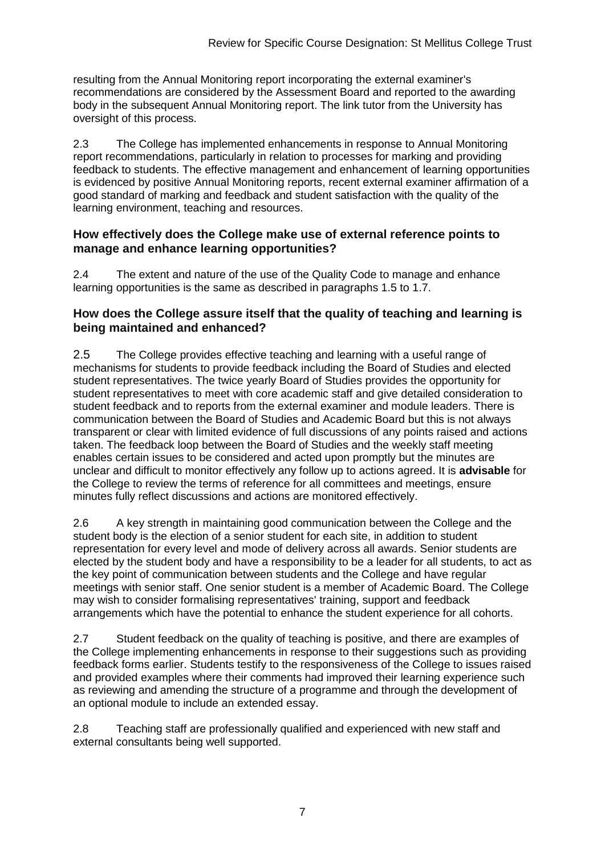resulting from the Annual Monitoring report incorporating the external examiner's recommendations are considered by the Assessment Board and reported to the awarding body in the subsequent Annual Monitoring report. The link tutor from the University has oversight of this process.

2.3 The College has implemented enhancements in response to Annual Monitoring report recommendations, particularly in relation to processes for marking and providing feedback to students. The effective management and enhancement of learning opportunities is evidenced by positive Annual Monitoring reports, recent external examiner affirmation of a good standard of marking and feedback and student satisfaction with the quality of the learning environment, teaching and resources.

#### **How effectively does the College make use of external reference points to manage and enhance learning opportunities?**

2.4 The extent and nature of the use of the Quality Code to manage and enhance learning opportunities is the same as described in paragraphs 1.5 to 1.7.

#### **How does the College assure itself that the quality of teaching and learning is being maintained and enhanced?**

2.5 The College provides effective teaching and learning with a useful range of mechanisms for students to provide feedback including the Board of Studies and elected student representatives. The twice yearly Board of Studies provides the opportunity for student representatives to meet with core academic staff and give detailed consideration to student feedback and to reports from the external examiner and module leaders. There is communication between the Board of Studies and Academic Board but this is not always transparent or clear with limited evidence of full discussions of any points raised and actions taken. The feedback loop between the Board of Studies and the weekly staff meeting enables certain issues to be considered and acted upon promptly but the minutes are unclear and difficult to monitor effectively any follow up to actions agreed. It is **advisable** for the College to review the terms of reference for all committees and meetings, ensure minutes fully reflect discussions and actions are monitored effectively.

2.6 A key strength in maintaining good communication between the College and the student body is the election of a senior student for each site, in addition to student representation for every level and mode of delivery across all awards. Senior students are elected by the student body and have a responsibility to be a leader for all students, to act as the key point of communication between students and the College and have regular meetings with senior staff. One senior student is a member of Academic Board. The College may wish to consider formalising representatives' training, support and feedback arrangements which have the potential to enhance the student experience for all cohorts.

2.7 Student feedback on the quality of teaching is positive, and there are examples of the College implementing enhancements in response to their suggestions such as providing feedback forms earlier. Students testify to the responsiveness of the College to issues raised and provided examples where their comments had improved their learning experience such as reviewing and amending the structure of a programme and through the development of an optional module to include an extended essay.

2.8 Teaching staff are professionally qualified and experienced with new staff and external consultants being well supported.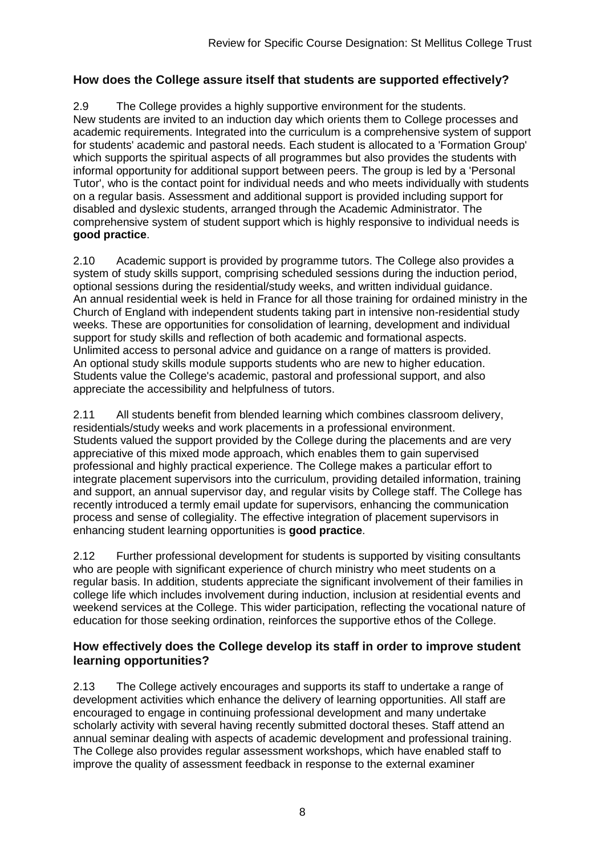#### **How does the College assure itself that students are supported effectively?**

2.9 The College provides a highly supportive environment for the students. New students are invited to an induction day which orients them to College processes and academic requirements. Integrated into the curriculum is a comprehensive system of support for students' academic and pastoral needs. Each student is allocated to a 'Formation Group' which supports the spiritual aspects of all programmes but also provides the students with informal opportunity for additional support between peers. The group is led by a 'Personal Tutor', who is the contact point for individual needs and who meets individually with students on a regular basis. Assessment and additional support is provided including support for disabled and dyslexic students, arranged through the Academic Administrator. The comprehensive system of student support which is highly responsive to individual needs is **good practice**.

2.10 Academic support is provided by programme tutors. The College also provides a system of study skills support, comprising scheduled sessions during the induction period, optional sessions during the residential/study weeks, and written individual guidance. An annual residential week is held in France for all those training for ordained ministry in the Church of England with independent students taking part in intensive non-residential study weeks. These are opportunities for consolidation of learning, development and individual support for study skills and reflection of both academic and formational aspects. Unlimited access to personal advice and guidance on a range of matters is provided. An optional study skills module supports students who are new to higher education. Students value the College's academic, pastoral and professional support, and also appreciate the accessibility and helpfulness of tutors.

2.11 All students benefit from blended learning which combines classroom delivery, residentials/study weeks and work placements in a professional environment. Students valued the support provided by the College during the placements and are very appreciative of this mixed mode approach, which enables them to gain supervised professional and highly practical experience. The College makes a particular effort to integrate placement supervisors into the curriculum, providing detailed information, training and support, an annual supervisor day, and regular visits by College staff. The College has recently introduced a termly email update for supervisors, enhancing the communication process and sense of collegiality. The effective integration of placement supervisors in enhancing student learning opportunities is **good practice**.

2.12 Further professional development for students is supported by visiting consultants who are people with significant experience of church ministry who meet students on a regular basis. In addition, students appreciate the significant involvement of their families in college life which includes involvement during induction, inclusion at residential events and weekend services at the College. This wider participation, reflecting the vocational nature of education for those seeking ordination, reinforces the supportive ethos of the College.

#### **How effectively does the College develop its staff in order to improve student learning opportunities?**

2.13 The College actively encourages and supports its staff to undertake a range of development activities which enhance the delivery of learning opportunities. All staff are encouraged to engage in continuing professional development and many undertake scholarly activity with several having recently submitted doctoral theses. Staff attend an annual seminar dealing with aspects of academic development and professional training. The College also provides regular assessment workshops, which have enabled staff to improve the quality of assessment feedback in response to the external examiner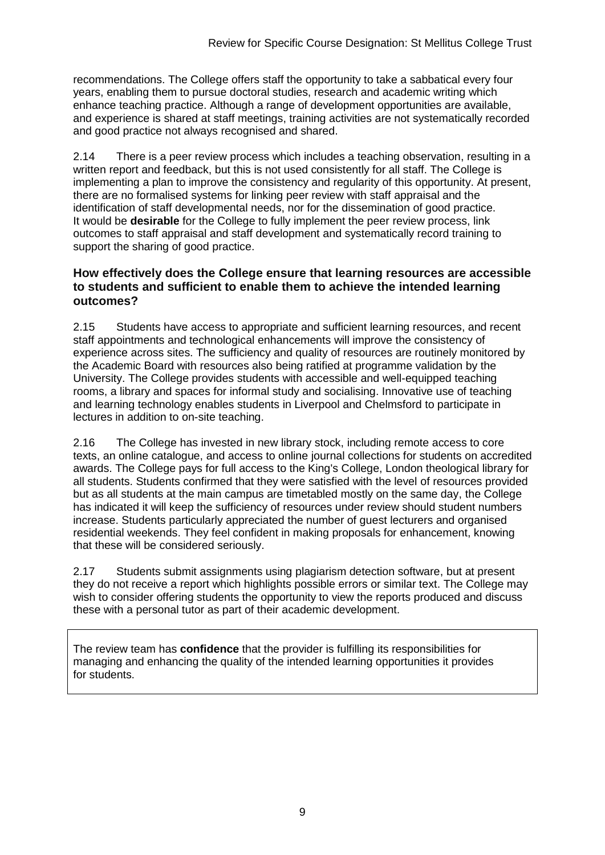recommendations. The College offers staff the opportunity to take a sabbatical every four years, enabling them to pursue doctoral studies, research and academic writing which enhance teaching practice. Although a range of development opportunities are available, and experience is shared at staff meetings, training activities are not systematically recorded and good practice not always recognised and shared.

2.14 There is a peer review process which includes a teaching observation, resulting in a written report and feedback, but this is not used consistently for all staff. The College is implementing a plan to improve the consistency and regularity of this opportunity. At present, there are no formalised systems for linking peer review with staff appraisal and the identification of staff developmental needs, nor for the dissemination of good practice. It would be **desirable** for the College to fully implement the peer review process, link outcomes to staff appraisal and staff development and systematically record training to support the sharing of good practice.

#### **How effectively does the College ensure that learning resources are accessible to students and sufficient to enable them to achieve the intended learning outcomes?**

2.15 Students have access to appropriate and sufficient learning resources, and recent staff appointments and technological enhancements will improve the consistency of experience across sites. The sufficiency and quality of resources are routinely monitored by the Academic Board with resources also being ratified at programme validation by the University. The College provides students with accessible and well-equipped teaching rooms, a library and spaces for informal study and socialising. Innovative use of teaching and learning technology enables students in Liverpool and Chelmsford to participate in lectures in addition to on-site teaching.

2.16 The College has invested in new library stock, including remote access to core texts, an online catalogue, and access to online journal collections for students on accredited awards. The College pays for full access to the King's College, London theological library for all students. Students confirmed that they were satisfied with the level of resources provided but as all students at the main campus are timetabled mostly on the same day, the College has indicated it will keep the sufficiency of resources under review should student numbers increase. Students particularly appreciated the number of guest lecturers and organised residential weekends. They feel confident in making proposals for enhancement, knowing that these will be considered seriously.

2.17 Students submit assignments using plagiarism detection software, but at present they do not receive a report which highlights possible errors or similar text. The College may wish to consider offering students the opportunity to view the reports produced and discuss these with a personal tutor as part of their academic development.

The review team has **confidence** that the provider is fulfilling its responsibilities for managing and enhancing the quality of the intended learning opportunities it provides for students.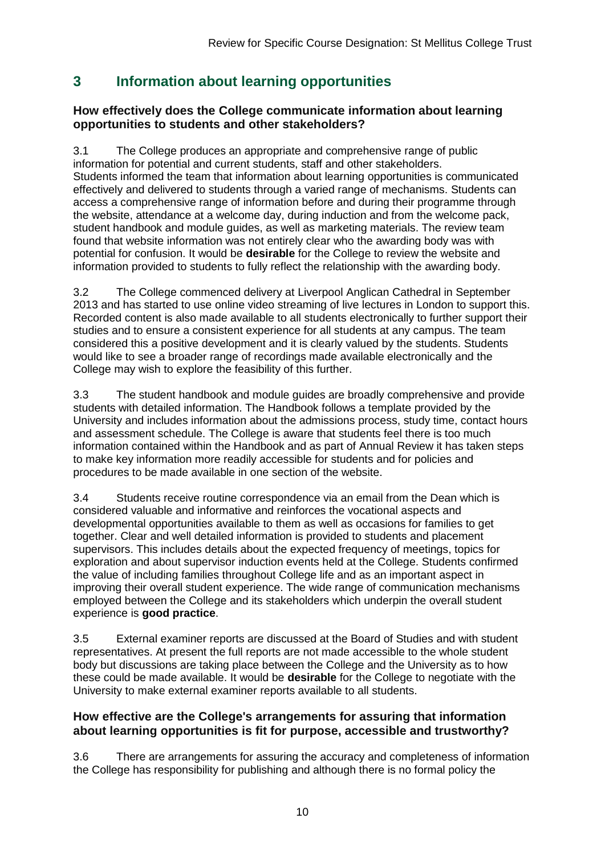### <span id="page-10-0"></span>**3 Information about learning opportunities**

#### **How effectively does the College communicate information about learning opportunities to students and other stakeholders?**

3.1 The College produces an appropriate and comprehensive range of public information for potential and current students, staff and other stakeholders. Students informed the team that information about learning opportunities is communicated effectively and delivered to students through a varied range of mechanisms. Students can access a comprehensive range of information before and during their programme through the website, attendance at a welcome day, during induction and from the welcome pack, student handbook and module guides, as well as marketing materials. The review team found that website information was not entirely clear who the awarding body was with potential for confusion. It would be **desirable** for the College to review the website and information provided to students to fully reflect the relationship with the awarding body.

3.2 The College commenced delivery at Liverpool Anglican Cathedral in September 2013 and has started to use online video streaming of live lectures in London to support this. Recorded content is also made available to all students electronically to further support their studies and to ensure a consistent experience for all students at any campus. The team considered this a positive development and it is clearly valued by the students. Students would like to see a broader range of recordings made available electronically and the College may wish to explore the feasibility of this further.

3.3 The student handbook and module guides are broadly comprehensive and provide students with detailed information. The Handbook follows a template provided by the University and includes information about the admissions process, study time, contact hours and assessment schedule. The College is aware that students feel there is too much information contained within the Handbook and as part of Annual Review it has taken steps to make key information more readily accessible for students and for policies and procedures to be made available in one section of the website.

3.4 Students receive routine correspondence via an email from the Dean which is considered valuable and informative and reinforces the vocational aspects and developmental opportunities available to them as well as occasions for families to get together. Clear and well detailed information is provided to students and placement supervisors. This includes details about the expected frequency of meetings, topics for exploration and about supervisor induction events held at the College. Students confirmed the value of including families throughout College life and as an important aspect in improving their overall student experience. The wide range of communication mechanisms employed between the College and its stakeholders which underpin the overall student experience is **good practice**.

3.5 External examiner reports are discussed at the Board of Studies and with student representatives. At present the full reports are not made accessible to the whole student body but discussions are taking place between the College and the University as to how these could be made available. It would be **desirable** for the College to negotiate with the University to make external examiner reports available to all students.

#### **How effective are the College's arrangements for assuring that information about learning opportunities is fit for purpose, accessible and trustworthy?**

3.6 There are arrangements for assuring the accuracy and completeness of information the College has responsibility for publishing and although there is no formal policy the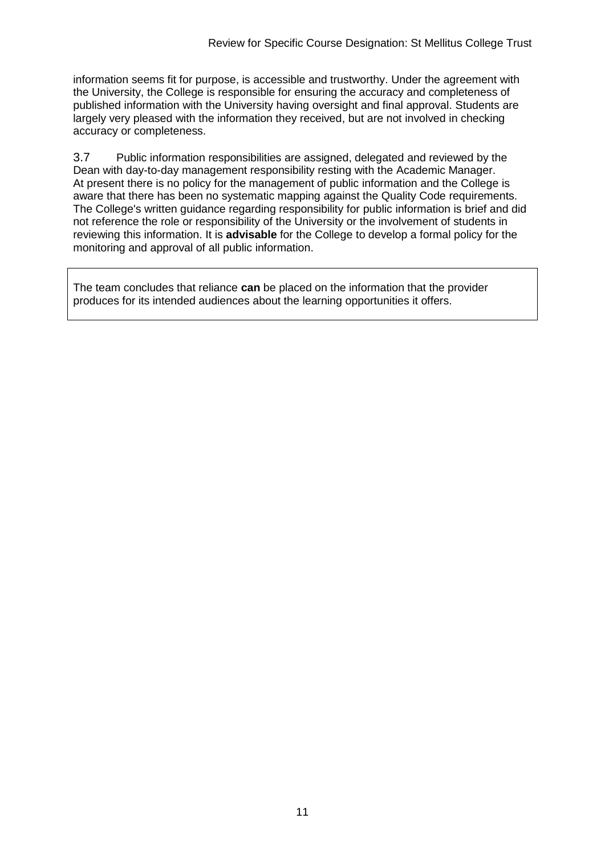information seems fit for purpose, is accessible and trustworthy. Under the agreement with the University, the College is responsible for ensuring the accuracy and completeness of published information with the University having oversight and final approval. Students are largely very pleased with the information they received, but are not involved in checking accuracy or completeness.

3.7 Public information responsibilities are assigned, delegated and reviewed by the Dean with day-to-day management responsibility resting with the Academic Manager. At present there is no policy for the management of public information and the College is aware that there has been no systematic mapping against the Quality Code requirements. The College's written guidance regarding responsibility for public information is brief and did not reference the role or responsibility of the University or the involvement of students in reviewing this information. It is **advisable** for the College to develop a formal policy for the monitoring and approval of all public information.

The team concludes that reliance **can** be placed on the information that the provider produces for its intended audiences about the learning opportunities it offers.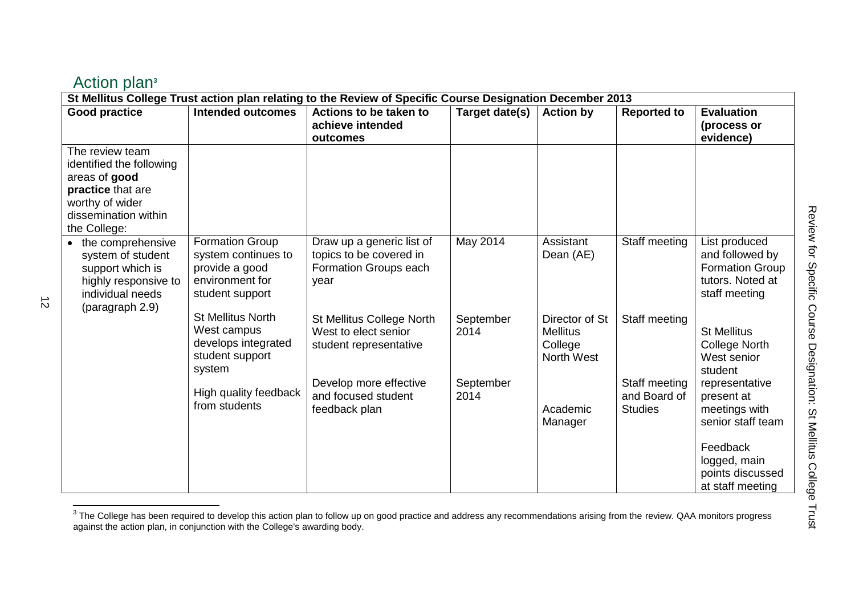| Action plan <sup>3</sup> |
|--------------------------|
|--------------------------|

<span id="page-12-0"></span>

| St Mellitus College Trust action plan relating to the Review of Specific Course Designation December 2013                                    |                                                                                                |                                                                                                       |                                |                                                            |                                |                                                                                                  |
|----------------------------------------------------------------------------------------------------------------------------------------------|------------------------------------------------------------------------------------------------|-------------------------------------------------------------------------------------------------------|--------------------------------|------------------------------------------------------------|--------------------------------|--------------------------------------------------------------------------------------------------|
| <b>Good practice</b>                                                                                                                         | <b>Intended outcomes</b>                                                                       | Actions to be taken to<br>achieve intended<br>outcomes                                                | Target date(s)                 | <b>Action by</b>                                           | <b>Reported to</b>             | <b>Evaluation</b><br>(process or<br>evidence)                                                    |
| The review team<br>identified the following<br>areas of good<br>practice that are<br>worthy of wider<br>dissemination within<br>the College: |                                                                                                |                                                                                                       |                                |                                                            |                                |                                                                                                  |
| the comprehensive<br>system of student<br>support which is<br>highly responsive to<br>individual needs<br>(paragraph 2.9)                    | Formation Group<br>system continues to<br>provide a good<br>environment for<br>student support | Draw up a generic list of<br>topics to be covered in<br>Formation Groups each<br>year                 | May 2014                       | Assistant<br>Dean (AE)                                     | Staff meeting                  | List produced<br>and followed by<br><b>Formation Group</b><br>tutors. Noted at<br>staff meeting  |
|                                                                                                                                              | <b>St Mellitus North</b><br>West campus<br>develops integrated<br>student support<br>system    | St Mellitus College North<br>West to elect senior<br>student representative<br>Develop more effective | September<br>2014<br>September | Director of St<br><b>Mellitus</b><br>College<br>North West | Staff meeting<br>Staff meeting | <b>St Mellitus</b><br><b>College North</b><br>West senior<br>student<br>representative           |
|                                                                                                                                              | High quality feedback<br>from students                                                         | and focused student<br>feedback plan                                                                  | 2014                           | Academic<br>Manager                                        | and Board of<br><b>Studies</b> | present at<br>meetings with<br>senior staff team<br>Feedback<br>logged, main<br>points discussed |
|                                                                                                                                              |                                                                                                |                                                                                                       |                                |                                                            |                                | at staff meeting                                                                                 |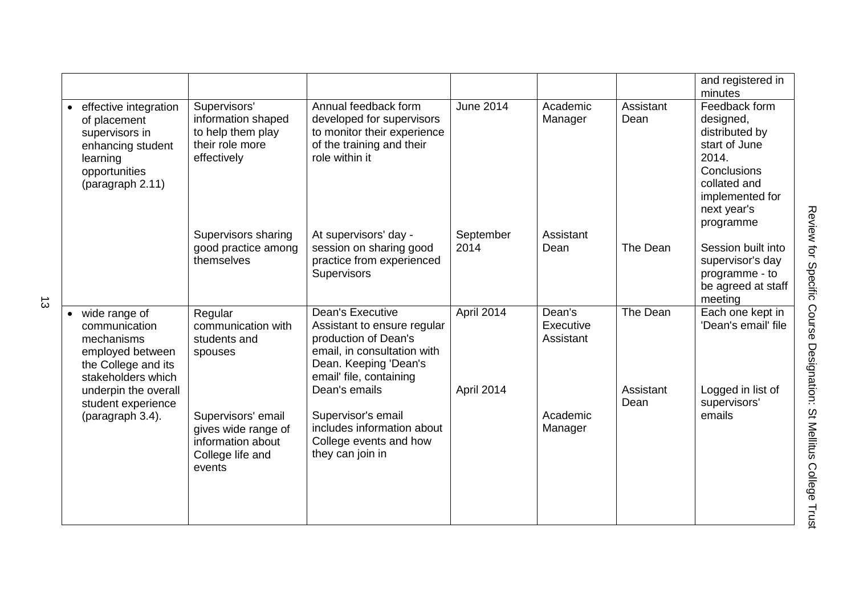|                                                                                                                                         |                                                                                              |                                                                                                                                                                                    |                          |                                  |                       | and registered in<br>minutes                                                                                                                         |
|-----------------------------------------------------------------------------------------------------------------------------------------|----------------------------------------------------------------------------------------------|------------------------------------------------------------------------------------------------------------------------------------------------------------------------------------|--------------------------|----------------------------------|-----------------------|------------------------------------------------------------------------------------------------------------------------------------------------------|
| effective integration<br>of placement<br>supervisors in<br>enhancing student<br>learning<br>opportunities<br>(paragraph 2.11)           | Supervisors'<br>information shaped<br>to help them play<br>their role more<br>effectively    | Annual feedback form<br>developed for supervisors<br>to monitor their experience<br>of the training and their<br>role within it                                                    | <b>June 2014</b>         | Academic<br>Manager              | Assistant<br>Dean     | Feedback form<br>designed,<br>distributed by<br>start of June<br>2014.<br>Conclusions<br>collated and<br>implemented for<br>next year's<br>programme |
|                                                                                                                                         | Supervisors sharing<br>good practice among<br>themselves                                     | At supervisors' day -<br>session on sharing good<br>practice from experienced<br>Supervisors                                                                                       | September<br>2014        | Assistant<br>Dean                | The Dean              | Session built into<br>supervisor's day<br>programme - to<br>be agreed at staff<br>meeting                                                            |
| • wide range of<br>communication<br>mechanisms<br>employed between<br>the College and its<br>stakeholders which<br>underpin the overall | Regular<br>communication with<br>students and<br>spouses                                     | <b>Dean's Executive</b><br>Assistant to ensure regular<br>production of Dean's<br>email, in consultation with<br>Dean. Keeping 'Dean's<br>email' file, containing<br>Dean's emails | April 2014<br>April 2014 | Dean's<br>Executive<br>Assistant | The Dean<br>Assistant | Each one kept in<br>'Dean's email' file<br>Logged in list of                                                                                         |
| student experience<br>(paragraph 3.4).                                                                                                  | Supervisors' email<br>gives wide range of<br>information about<br>College life and<br>events | Supervisor's email<br>includes information about<br>College events and how<br>they can join in                                                                                     |                          | Academic<br>Manager              | Dean                  | supervisors'<br>emails                                                                                                                               |
|                                                                                                                                         |                                                                                              |                                                                                                                                                                                    |                          |                                  |                       |                                                                                                                                                      |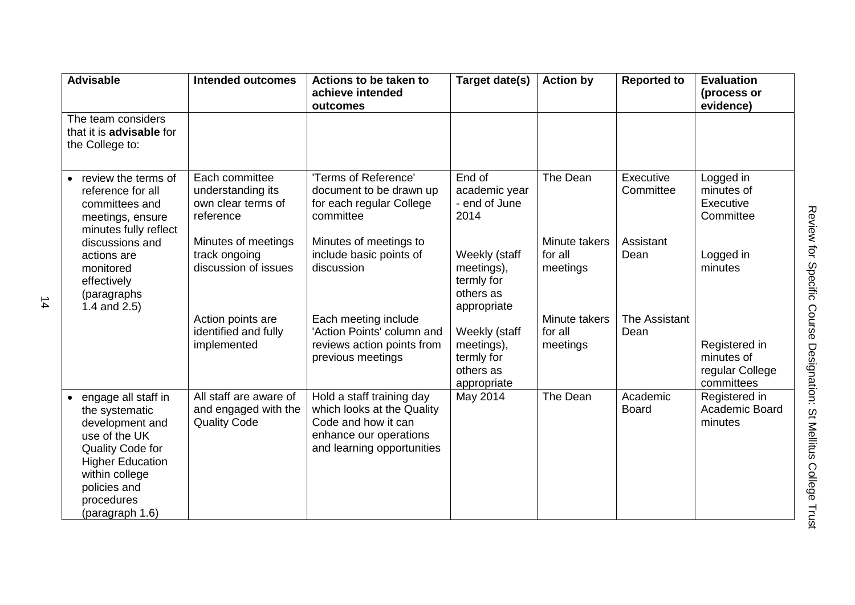| <b>Advisable</b>                                                                                                                                                                            | <b>Intended outcomes</b>                                               | Actions to be taken to<br>achieve intended<br>outcomes                                                                                 | Target date(s)                                                        | <b>Action by</b>                     | <b>Reported to</b>       | <b>Evaluation</b><br>(process or<br>evidence)                |
|---------------------------------------------------------------------------------------------------------------------------------------------------------------------------------------------|------------------------------------------------------------------------|----------------------------------------------------------------------------------------------------------------------------------------|-----------------------------------------------------------------------|--------------------------------------|--------------------------|--------------------------------------------------------------|
| The team considers<br>that it is <b>advisable</b> for<br>the College to:                                                                                                                    |                                                                        |                                                                                                                                        |                                                                       |                                      |                          |                                                              |
| review the terms of<br>reference for all<br>committees and<br>meetings, ensure<br>minutes fully reflect                                                                                     | Each committee<br>understanding its<br>own clear terms of<br>reference | 'Terms of Reference'<br>document to be drawn up<br>for each regular College<br>committee                                               | End of<br>academic year<br>- end of June<br>2014                      | The Dean                             | Executive<br>Committee   | Logged in<br>minutes of<br>Executive<br>Committee            |
| discussions and<br>actions are<br>monitored<br>effectively<br>(paragraphs)<br>1.4 and $2.5$ )                                                                                               | Minutes of meetings<br>track ongoing<br>discussion of issues           | Minutes of meetings to<br>include basic points of<br>discussion                                                                        | Weekly (staff<br>meetings),<br>termly for<br>others as<br>appropriate | Minute takers<br>for all<br>meetings | Assistant<br>Dean        | Logged in<br>minutes                                         |
|                                                                                                                                                                                             | Action points are<br>identified and fully<br>implemented               | Each meeting include<br>'Action Points' column and<br>reviews action points from<br>previous meetings                                  | Weekly (staff<br>meetings),<br>termly for<br>others as<br>appropriate | Minute takers<br>for all<br>meetings | The Assistant<br>Dean    | Registered in<br>minutes of<br>regular College<br>committees |
| engage all staff in<br>the systematic<br>development and<br>use of the UK<br>Quality Code for<br><b>Higher Education</b><br>within college<br>policies and<br>procedures<br>(paragraph 1.6) | All staff are aware of<br>and engaged with the<br><b>Quality Code</b>  | Hold a staff training day<br>which looks at the Quality<br>Code and how it can<br>enhance our operations<br>and learning opportunities | May 2014                                                              | The Dean                             | Academic<br><b>Board</b> | Registered in<br>Academic Board<br>minutes                   |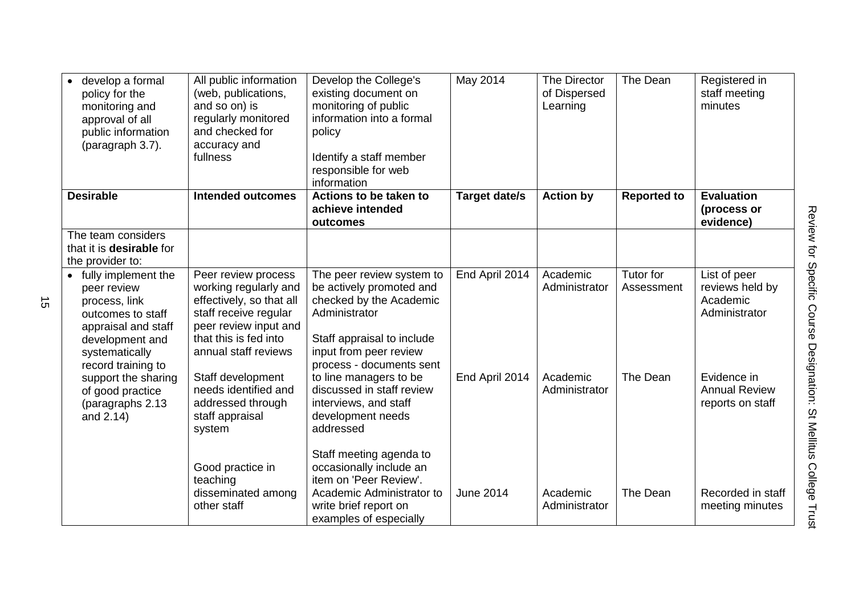| develop a formal<br>policy for the<br>monitoring and<br>approval of all<br>public information<br>(paragraph 3.7).    | All public information<br>(web, publications,<br>and so on) is<br>regularly monitored<br>and checked for<br>accuracy and<br>fullness                | Develop the College's<br>existing document on<br>monitoring of public<br>information into a formal<br>policy<br>Identify a staff member<br>responsible for web<br>information | May 2014             | The Director<br>of Dispersed<br>Learning | The Dean                | Registered in<br>staff meeting<br>minutes                    |
|----------------------------------------------------------------------------------------------------------------------|-----------------------------------------------------------------------------------------------------------------------------------------------------|-------------------------------------------------------------------------------------------------------------------------------------------------------------------------------|----------------------|------------------------------------------|-------------------------|--------------------------------------------------------------|
| <b>Desirable</b>                                                                                                     | <b>Intended outcomes</b>                                                                                                                            | Actions to be taken to<br>achieve intended<br>outcomes                                                                                                                        | <b>Target date/s</b> | <b>Action by</b>                         | <b>Reported to</b>      | <b>Evaluation</b><br>(process or<br>evidence)                |
| The team considers<br>that it is <b>desirable</b> for<br>the provider to:                                            |                                                                                                                                                     |                                                                                                                                                                               |                      |                                          |                         |                                                              |
| • fully implement the<br>peer review<br>process, link<br>outcomes to staff<br>appraisal and staff<br>development and | Peer review process<br>working regularly and<br>effectively, so that all<br>staff receive regular<br>peer review input and<br>that this is fed into | The peer review system to<br>be actively promoted and<br>checked by the Academic<br>Administrator<br>Staff appraisal to include                                               | End April 2014       | Academic<br>Administrator                | Tutor for<br>Assessment | List of peer<br>reviews held by<br>Academic<br>Administrator |
| systematically<br>record training to<br>support the sharing<br>of good practice<br>(paragraphs 2.13<br>and 2.14)     | annual staff reviews<br>Staff development<br>needs identified and<br>addressed through<br>staff appraisal<br>system                                 | input from peer review<br>process - documents sent<br>to line managers to be<br>discussed in staff review<br>interviews, and staff<br>development needs<br>addressed          | End April 2014       | Academic<br>Administrator                | The Dean                | Evidence in<br><b>Annual Review</b><br>reports on staff      |
|                                                                                                                      | Good practice in<br>teaching<br>disseminated among<br>other staff                                                                                   | Staff meeting agenda to<br>occasionally include an<br>item on 'Peer Review'.<br>Academic Administrator to<br>write brief report on<br>examples of especially                  | <b>June 2014</b>     | Academic<br>Administrator                | The Dean                | Recorded in staff<br>meeting minutes                         |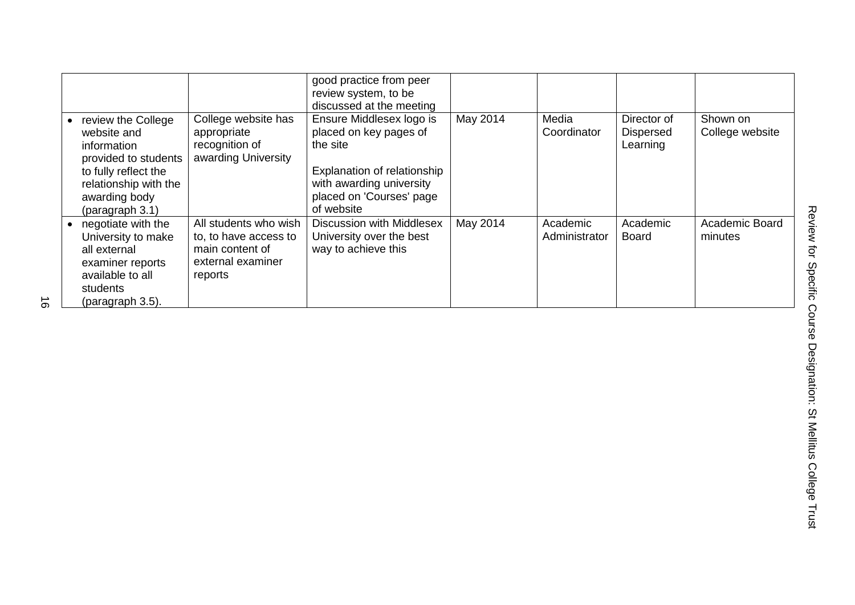|                                                                                                                                                               |                                                                                                   | good practice from peer<br>review system, to be<br>discussed at the meeting                                                                                         |          |                           |                                             |                                  |
|---------------------------------------------------------------------------------------------------------------------------------------------------------------|---------------------------------------------------------------------------------------------------|---------------------------------------------------------------------------------------------------------------------------------------------------------------------|----------|---------------------------|---------------------------------------------|----------------------------------|
| review the College<br>website and<br>information<br>provided to students<br>to fully reflect the<br>relationship with the<br>awarding body<br>(paragraph 3.1) | College website has<br>appropriate<br>recognition of<br>awarding University                       | Ensure Middlesex logo is<br>placed on key pages of<br>the site<br>Explanation of relationship<br>with awarding university<br>placed on 'Courses' page<br>of website | May 2014 | Media<br>Coordinator      | Director of<br><b>Dispersed</b><br>Learning | Shown on<br>College website      |
| negotiate with the<br>University to make<br>all external<br>examiner reports<br>available to all<br>students<br>(paragraph 3.5).                              | All students who wish<br>to, to have access to<br>main content of<br>external examiner<br>reports | Discussion with Middlesex<br>University over the best<br>way to achieve this                                                                                        | May 2014 | Academic<br>Administrator | Academic<br>Board                           | <b>Academic Board</b><br>minutes |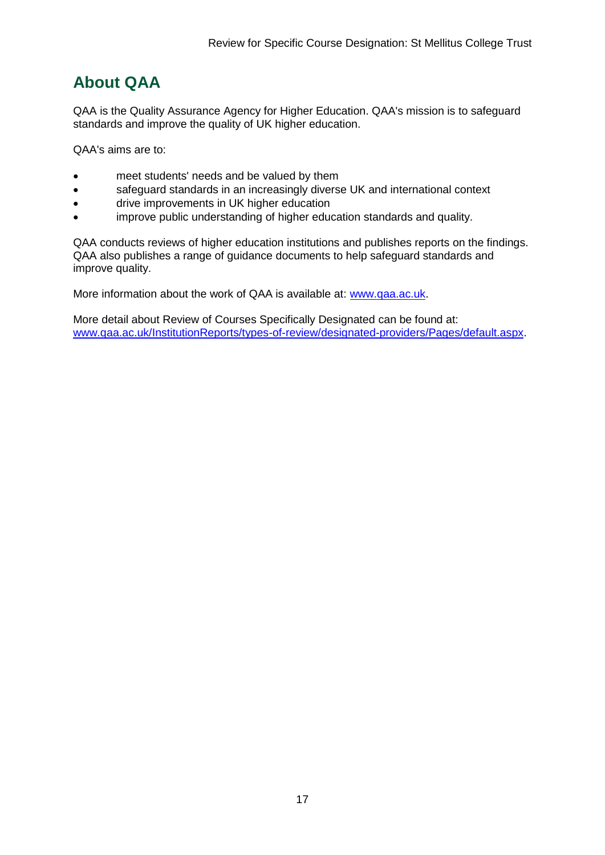## <span id="page-17-0"></span>**About QAA**

QAA is the Quality Assurance Agency for Higher Education. QAA's mission is to safeguard standards and improve the quality of UK higher education.

QAA's aims are to:

- meet students' needs and be valued by them
- safeguard standards in an increasingly diverse UK and international context
- drive improvements in UK higher education
- improve public understanding of higher education standards and quality.

QAA conducts reviews of higher education institutions and publishes reports on the findings. QAA also publishes a range of guidance documents to help safeguard standards and improve quality.

More information about the work of QAA is available at: [www.qaa.ac.uk.](http://www.qaa.ac.uk/)

More detail about Review of Courses Specifically Designated can be found at: [www.qaa.ac.uk/InstitutionReports/types-of-review/designated-providers/Pages/default.aspx.](http://www.qaa.ac.uk/InstitutionReports/types-of-review/designated-providers/Pages/default.aspx)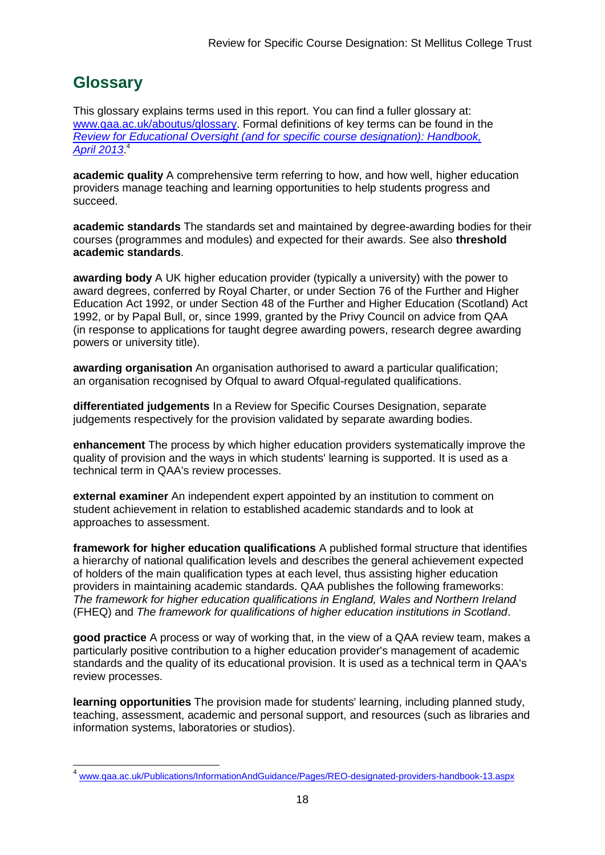### <span id="page-18-0"></span>**Glossary**

-

This glossary explains terms used in this report. You can find a fuller glossary at: [www.qaa.ac.uk/aboutus/glossary.](http://www.qaa.ac.uk/aboutus/glossary) Formal definitions of key terms can be found in the *[Review for Educational Oversight \(and for specific course designation\): Handbook,](http://www.qaa.ac.uk/Publications/InformationAndGuidance/Pages/REO-designated-providers-handbook-13.aspx)  [April 2013](http://www.qaa.ac.uk/Publications/InformationAndGuidance/Pages/REO-designated-providers-handbook-13.aspx)*. 4

**academic quality** A comprehensive term referring to how, and how well, higher education providers manage teaching and learning opportunities to help students progress and succeed.

**academic standards** The standards set and maintained by degree-awarding bodies for their courses (programmes and modules) and expected for their awards. See also **threshold academic standards**.

**awarding body** A UK higher education provider (typically a university) with the power to award degrees, conferred by Royal Charter, or under Section 76 of the Further and Higher Education Act 1992, or under Section 48 of the Further and Higher Education (Scotland) Act 1992, or by Papal Bull, or, since 1999, granted by the Privy Council on advice from QAA (in response to applications for taught degree awarding powers, research degree awarding powers or university title).

**awarding organisation** An organisation authorised to award a particular qualification; an organisation recognised by Ofqual to award Ofgual-regulated qualifications.

**differentiated judgements** In a Review for Specific Courses Designation, separate judgements respectively for the provision validated by separate awarding bodies.

**enhancement** The process by which higher education providers systematically improve the quality of provision and the ways in which students' learning is supported. It is used as a technical term in QAA's review processes.

**external examiner** An independent expert appointed by an institution to comment on student achievement in relation to established academic standards and to look at approaches to assessment.

**framework for higher education qualifications** A published formal structure that identifies a hierarchy of national qualification levels and describes the general achievement expected of holders of the main qualification types at each level, thus assisting higher education providers in maintaining academic standards. QAA publishes the following frameworks: *The framework for higher education qualifications in England, Wales and Northern Ireland* (FHEQ) and *The framework for qualifications of higher education institutions in Scotland*.

**good practice** A process or way of working that, in the view of a QAA review team, makes a particularly positive contribution to a higher education provider's management of academic standards and the quality of its educational provision. It is used as a technical term in QAA's review processes.

**learning opportunities** The provision made for students' learning, including planned study, teaching, assessment, academic and personal support, and resources (such as libraries and information systems, laboratories or studios).

<sup>4</sup> [www.qaa.ac.uk/Publications/InformationAndGuidance/Pages/REO-designated-providers-handbook-13.aspx](http://www.qaa.ac.uk/Publications/InformationAndGuidance/Pages/REO-designated-providers-handbook-13.aspx)